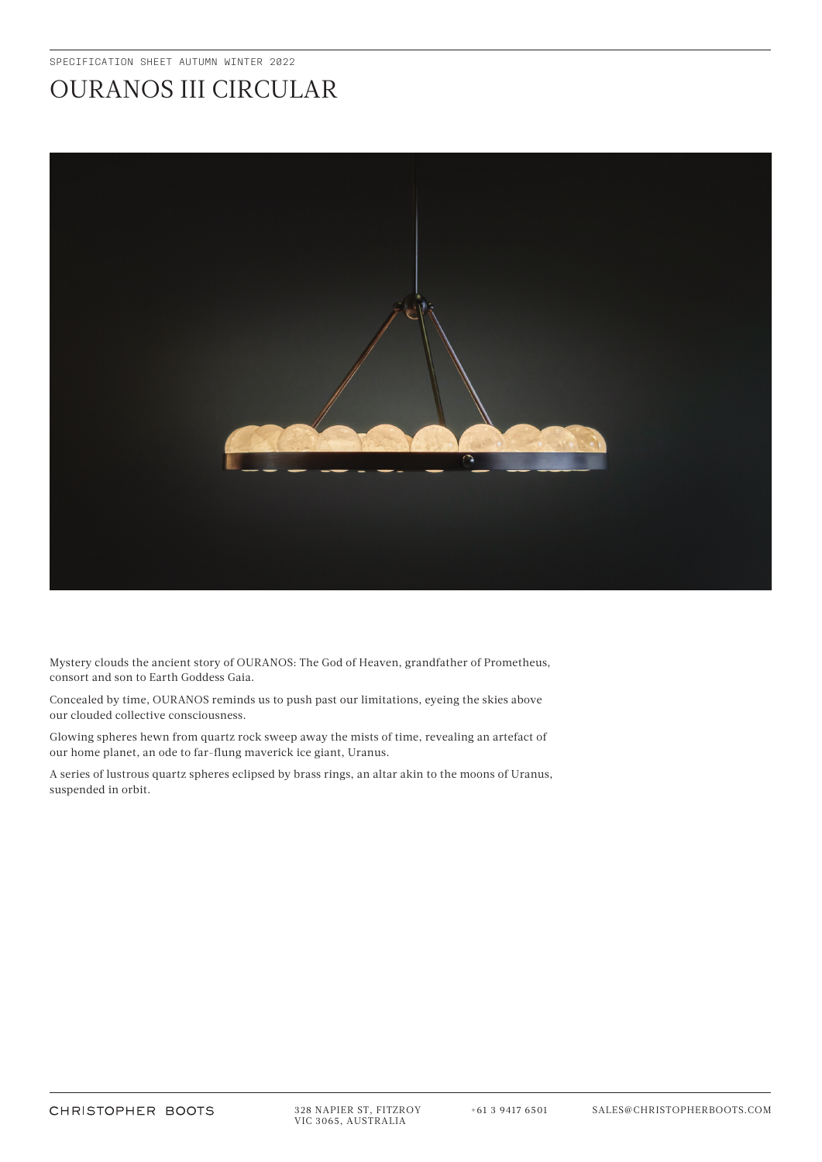## OURANOS III CIRCULAR



Mystery clouds the ancient story of OURANOS: The God of Heaven, grandfather of Prometheus, consort and son to Earth Goddess Gaia.

Concealed by time, OURANOS reminds us to push past our limitations, eyeing the skies above our clouded collective consciousness.

Glowing spheres hewn from quartz rock sweep away the mists of time, revealing an artefact of our home planet, an ode to far-flung maverick ice giant, Uranus.

A series of lustrous quartz spheres eclipsed by brass rings, an altar akin to the moons of Uranus, suspended in orbit.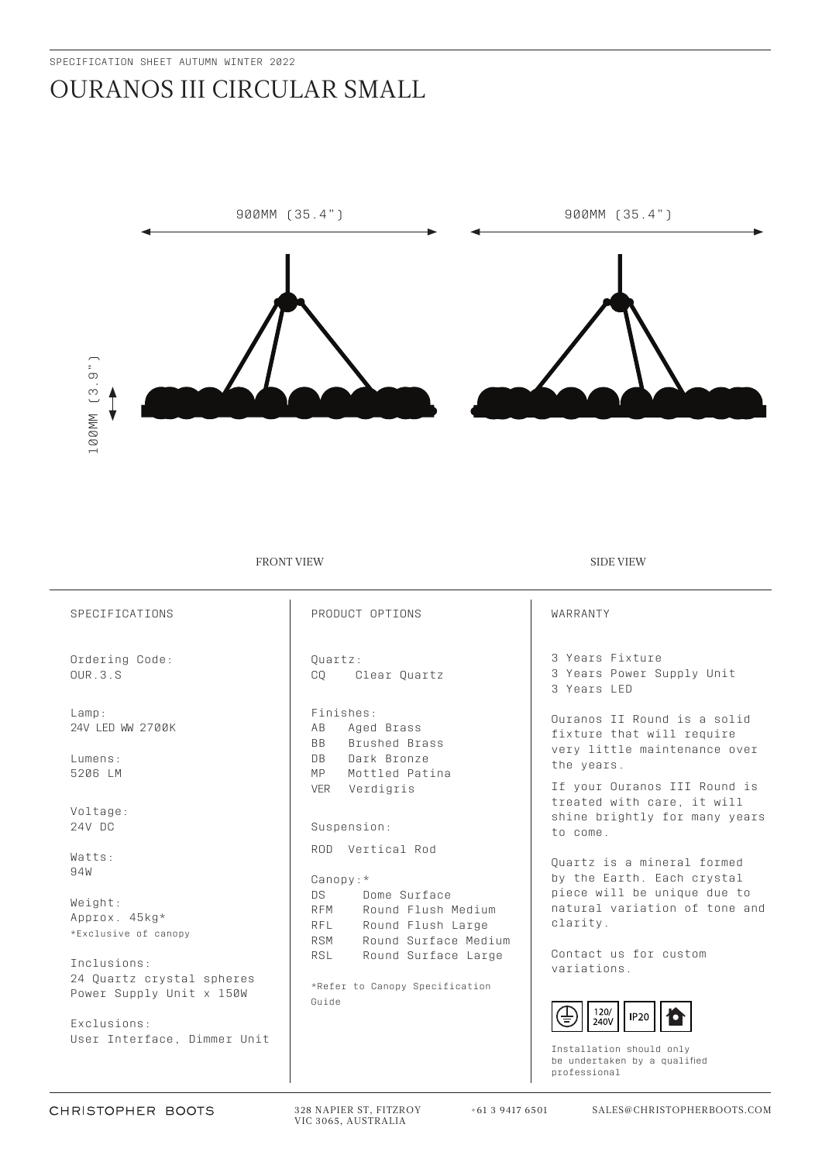## OURANOS III CIRCULAR SMALL



FRONT VIEW SIDE VIEW SIDE VIEW

| SPECIFICATIONS                                                       | PRODUCT OPTIONS                                                                                                                 | WARRANTY                                                                                                |
|----------------------------------------------------------------------|---------------------------------------------------------------------------------------------------------------------------------|---------------------------------------------------------------------------------------------------------|
| Ordering Code:<br>QUR.3.S                                            | Ouartz:<br>CO.<br>Clear Quartz                                                                                                  | 3 Years Fixture<br>3 Years Power Supply Unit<br>3 Years LED                                             |
| Lamp:<br>24V LED WW 2700K<br>Lumens:<br>5206 LM                      | Finishes:<br>Aged Brass<br>AB<br>Brushed Brass<br><b>BB</b><br>Dark Bronze<br>$\Box$<br>MP<br>Mottled Patina                    | Ouranos II Round is a solid<br>fixture that will require<br>very little maintenance over<br>the years.  |
| Voltage:<br>24V DC                                                   | Verdigris<br><b>VER</b><br>Suspension:                                                                                          | If your Ouranos III Round is<br>treated with care, it will<br>shine brightly for many years<br>to come. |
| Watts:<br>94W                                                        | ROD Vertical Rod<br>$Canopy: *$                                                                                                 | Ouartz is a mineral formed<br>by the Earth. Each crystal                                                |
| Weight:<br>Approx. 45kg*<br>*Exclusive of canopy                     | DS<br>Dome Surface<br>Round Flush Medium<br><b>RFM</b><br>Round Flush Large<br><b>RFL</b><br>Round Surface Medium<br><b>RSM</b> | piece will be unique due to<br>natural variation of tone and<br>clarity.                                |
| Inclusions:<br>24 Quartz crystal spheres<br>Power Supply Unit x 150W | RSL<br>Round Surface Large<br>*Refer to Canopy Specification<br>Guide                                                           | Contact us for custom<br>variations.<br>120/<br><b>IP20</b>                                             |
| Exclusions:<br>User Interface, Dimmer Unit                           |                                                                                                                                 | 240V                                                                                                    |

Installation should only be undertaken by a qualified professional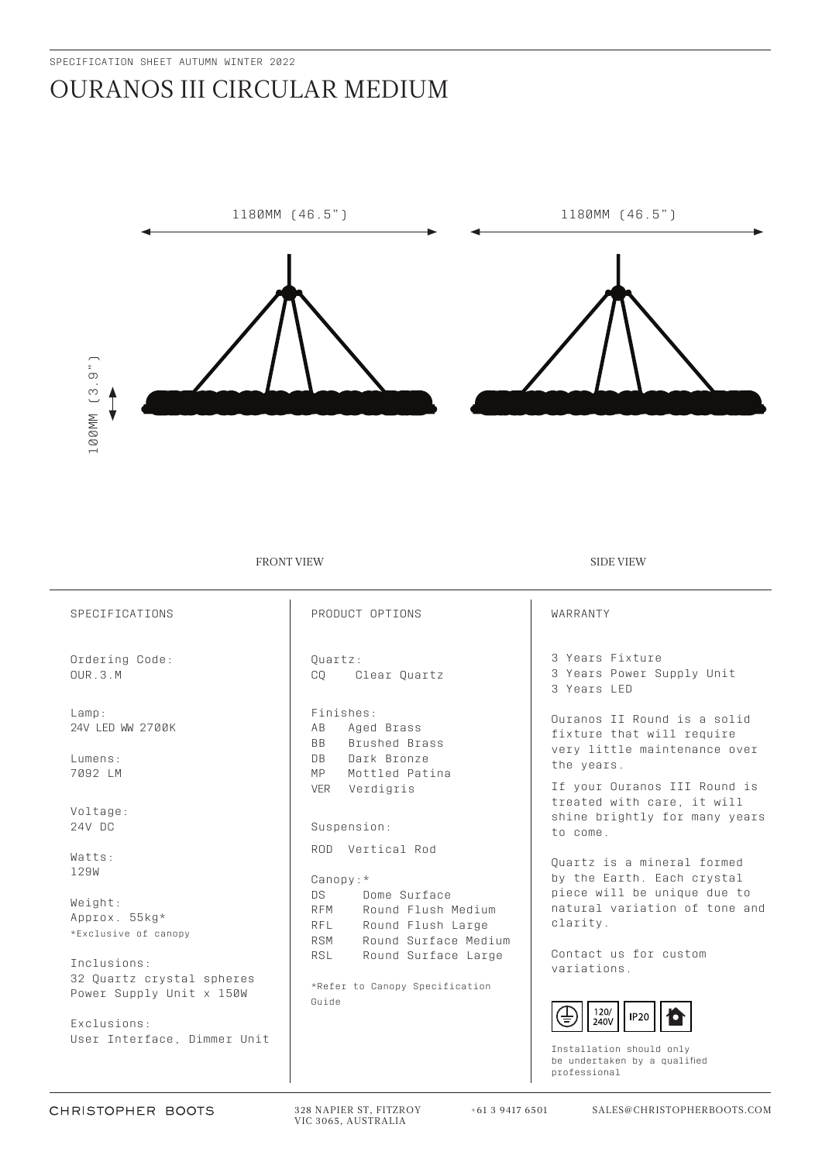## OURANOS III CIRCULAR MEDIUM



FRONT VIEW SIDE VIEW SIDE VIEW

| SPECIFICATIONS                                                       | PRODUCT OPTIONS                                                                                                                 | WARRANTY                                                                                                |
|----------------------------------------------------------------------|---------------------------------------------------------------------------------------------------------------------------------|---------------------------------------------------------------------------------------------------------|
| Ordering Code:<br>QUR.3.M                                            | Ouartz:<br>Clear Quartz<br>CO.                                                                                                  | 3 Years Fixture<br>3 Years Power Supply Unit<br>3 Years LED                                             |
| Lamp:<br>24V LED WW 2700K<br>Lumens:                                 | Finishes:<br>Aged Brass<br>AB<br><b>BB</b><br>Brushed Brass<br>Dark Bronze<br><b>DB</b>                                         | Ouranos II Round is a solid<br>fixture that will require<br>very little maintenance over<br>the years.  |
| 7092 LM<br>Voltage:<br>24V DC                                        | MP<br>Mottled Patina<br>Verdigris<br><b>VER</b><br>Suspension:                                                                  | If your Ouranos III Round is<br>treated with care, it will<br>shine brightly for many years<br>to come. |
| Watts:<br>129W                                                       | ROD Vertical Rod<br>$Canopy: *$                                                                                                 | Ouartz is a mineral formed<br>by the Earth. Each crystal                                                |
| Weight:<br>Approx. 55kg*<br>*Exclusive of canopy                     | DS<br>Dome Surface<br>Round Flush Medium<br><b>RFM</b><br>Round Flush Large<br><b>RFL</b><br>Round Surface Medium<br><b>RSM</b> | piece will be unique due to<br>natural variation of tone and<br>clarity.                                |
| Inclusions:<br>32 Quartz crystal spheres<br>Power Supply Unit x 150W | Round Surface Large<br><b>RSL</b><br>*Refer to Canopy Specification<br>Guide                                                    | Contact us for custom<br>variations.<br>120/<br>$ $ IP20                                                |
| Exclusions:<br>User Interface, Dimmer Unit                           |                                                                                                                                 | 240V                                                                                                    |

Installation should only be undertaken by a qualified professional